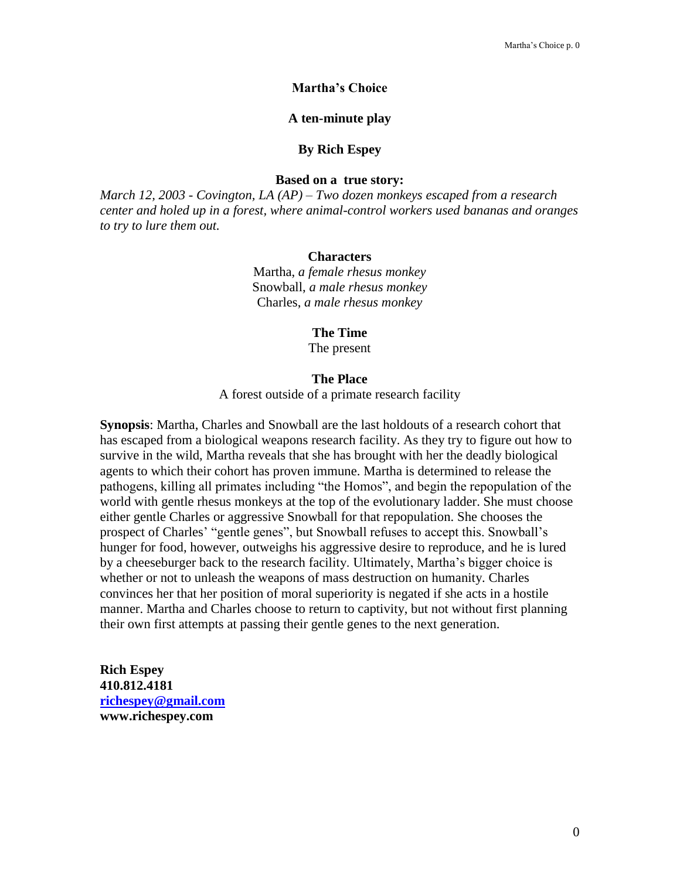# **Martha's Choice**

## **A ten-minute play**

#### **By Rich Espey**

# **Based on a true story:**

*March 12, 2003 - Covington, LA (AP) – Two dozen monkeys escaped from a research center and holed up in a forest, where animal-control workers used bananas and oranges to try to lure them out.*

#### **Characters**

Martha, *a female rhesus monkey* Snowball, *a male rhesus monkey* Charles, *a male rhesus monkey*

### **The Time**

The present

# **The Place**

A forest outside of a primate research facility

**Synopsis**: Martha, Charles and Snowball are the last holdouts of a research cohort that has escaped from a biological weapons research facility. As they try to figure out how to survive in the wild, Martha reveals that she has brought with her the deadly biological agents to which their cohort has proven immune. Martha is determined to release the pathogens, killing all primates including "the Homos", and begin the repopulation of the world with gentle rhesus monkeys at the top of the evolutionary ladder. She must choose either gentle Charles or aggressive Snowball for that repopulation. She chooses the prospect of Charles' "gentle genes", but Snowball refuses to accept this. Snowball's hunger for food, however, outweighs his aggressive desire to reproduce, and he is lured by a cheeseburger back to the research facility. Ultimately, Martha's bigger choice is whether or not to unleash the weapons of mass destruction on humanity. Charles convinces her that her position of moral superiority is negated if she acts in a hostile manner. Martha and Charles choose to return to captivity, but not without first planning their own first attempts at passing their gentle genes to the next generation.

**Rich Espey 410.812.4181 [richespey@gmail.com](mailto:richespey@gmail.com) www.richespey.com**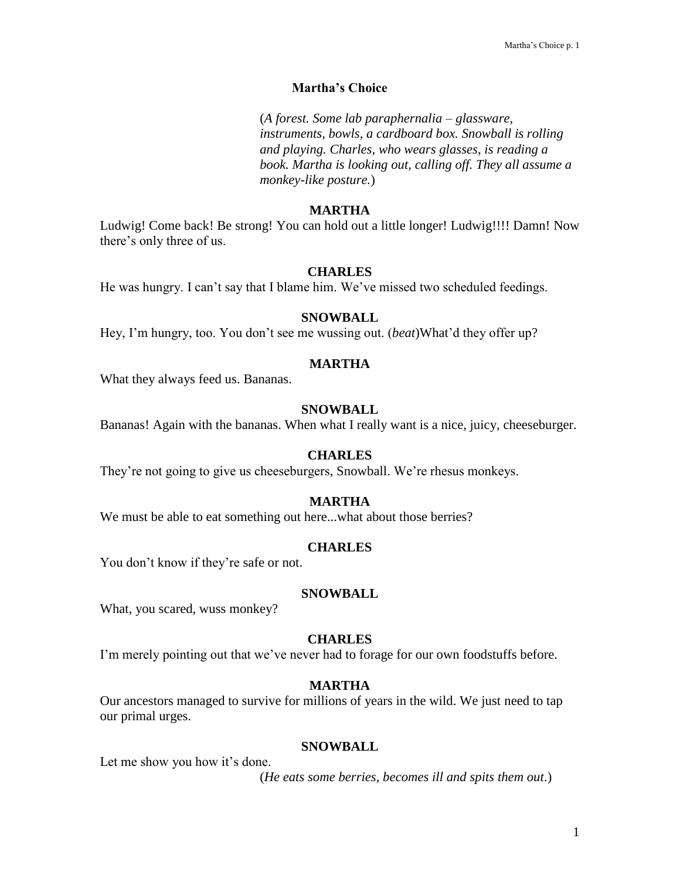# **Martha's Choice**

(*A forest. Some lab paraphernalia – glassware, instruments, bowls, a cardboard box. Snowball is rolling and playing. Charles, who wears glasses, is reading a book. Martha is looking out, calling off. They all assume a monkey-like posture.*)

# **MARTHA**

Ludwig! Come back! Be strong! You can hold out a little longer! Ludwig!!!! Damn! Now there's only three of us.

### **CHARLES**

He was hungry. I can't say that I blame him. We've missed two scheduled feedings.

# **SNOWBALL**

Hey, I'm hungry, too. You don't see me wussing out. (*beat*)What'd they offer up?

### **MARTHA**

What they always feed us. Bananas.

# **SNOWBALL**

Bananas! Again with the bananas. When what I really want is a nice, juicy, cheeseburger.

#### **CHARLES**

They're not going to give us cheeseburgers, Snowball. We're rhesus monkeys.

### **MARTHA**

We must be able to eat something out here...what about those berries?

#### **CHARLES**

You don't know if they're safe or not.

# **SNOWBALL**

What, you scared, wuss monkey?

#### **CHARLES**

I'm merely pointing out that we've never had to forage for our own foodstuffs before.

# **MARTHA**

Our ancestors managed to survive for millions of years in the wild. We just need to tap our primal urges.

## **SNOWBALL**

Let me show you how it's done.

(*He eats some berries, becomes ill and spits them out*.)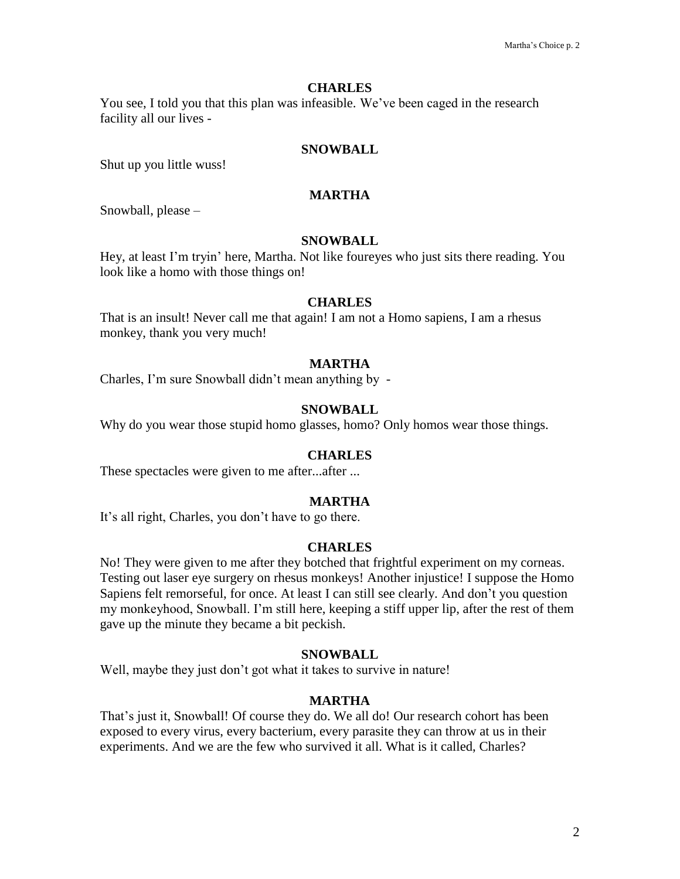You see, I told you that this plan was infeasible. We've been caged in the research facility all our lives -

# **SNOWBALL**

Shut up you little wuss!

# **MARTHA**

Snowball, please –

# **SNOWBALL**

Hey, at least I'm tryin' here, Martha. Not like foureyes who just sits there reading. You look like a homo with those things on!

# **CHARLES**

That is an insult! Never call me that again! I am not a Homo sapiens, I am a rhesus monkey, thank you very much!

# **MARTHA**

Charles, I'm sure Snowball didn't mean anything by -

# **SNOWBALL**

Why do you wear those stupid homo glasses, homo? Only homos wear those things.

# **CHARLES**

These spectacles were given to me after...after ...

# **MARTHA**

It's all right, Charles, you don't have to go there.

# **CHARLES**

No! They were given to me after they botched that frightful experiment on my corneas. Testing out laser eye surgery on rhesus monkeys! Another injustice! I suppose the Homo Sapiens felt remorseful, for once. At least I can still see clearly. And don't you question my monkeyhood, Snowball. I'm still here, keeping a stiff upper lip, after the rest of them gave up the minute they became a bit peckish.

# **SNOWBALL**

Well, maybe they just don't got what it takes to survive in nature!

# **MARTHA**

That's just it, Snowball! Of course they do. We all do! Our research cohort has been exposed to every virus, every bacterium, every parasite they can throw at us in their experiments. And we are the few who survived it all. What is it called, Charles?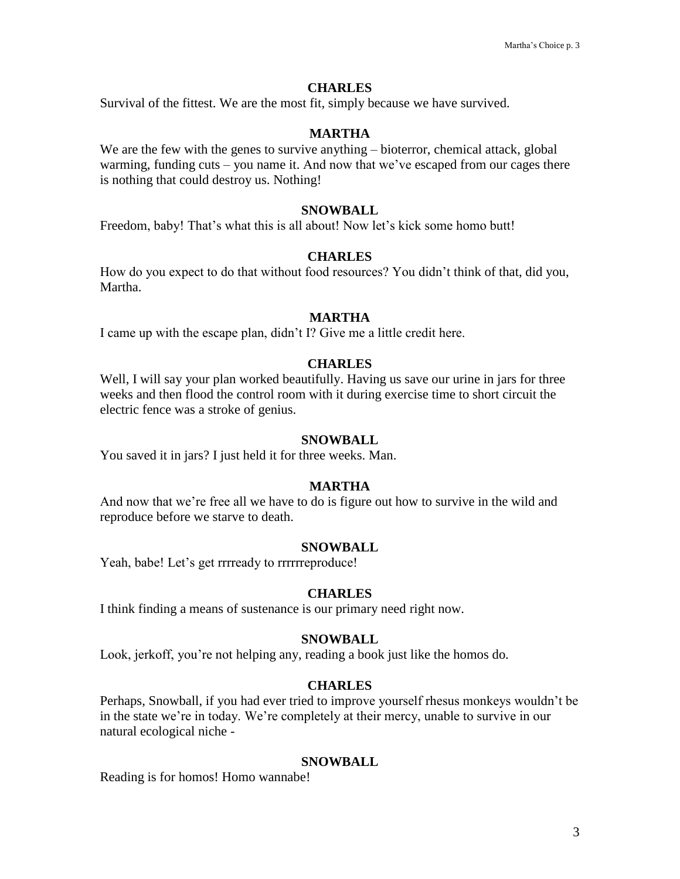Survival of the fittest. We are the most fit, simply because we have survived.

# **MARTHA**

We are the few with the genes to survive anything – bioterror, chemical attack, global warming, funding cuts – you name it. And now that we've escaped from our cages there is nothing that could destroy us. Nothing!

### **SNOWBALL**

Freedom, baby! That's what this is all about! Now let's kick some homo butt!

# **CHARLES**

How do you expect to do that without food resources? You didn't think of that, did you, Martha.

## **MARTHA**

I came up with the escape plan, didn't I? Give me a little credit here.

# **CHARLES**

Well, I will say your plan worked beautifully. Having us save our urine in jars for three weeks and then flood the control room with it during exercise time to short circuit the electric fence was a stroke of genius.

#### **SNOWBALL**

You saved it in jars? I just held it for three weeks. Man.

#### **MARTHA**

And now that we're free all we have to do is figure out how to survive in the wild and reproduce before we starve to death.

#### **SNOWBALL**

Yeah, babe! Let's get rrrready to rrrrrreproduce!

#### **CHARLES**

I think finding a means of sustenance is our primary need right now.

# **SNOWBALL**

Look, jerkoff, you're not helping any, reading a book just like the homos do.

#### **CHARLES**

Perhaps, Snowball, if you had ever tried to improve yourself rhesus monkeys wouldn't be in the state we're in today. We're completely at their mercy, unable to survive in our natural ecological niche -

### **SNOWBALL**

Reading is for homos! Homo wannabe!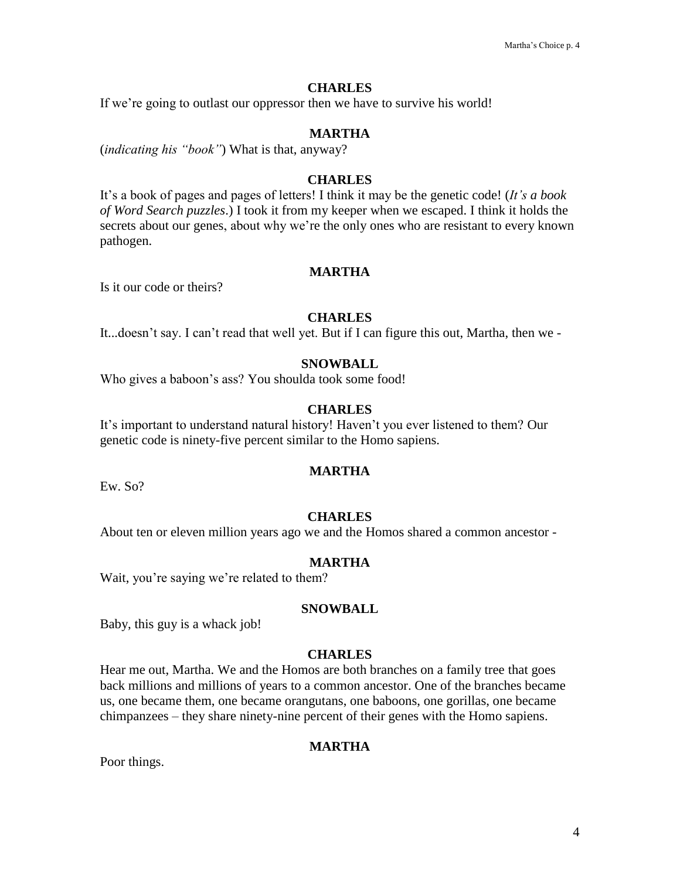If we're going to outlast our oppressor then we have to survive his world!

# **MARTHA**

(*indicating his "book"*) What is that, anyway?

# **CHARLES**

It's a book of pages and pages of letters! I think it may be the genetic code! (*It's a book of Word Search puzzles*.) I took it from my keeper when we escaped. I think it holds the secrets about our genes, about why we're the only ones who are resistant to every known pathogen.

# **MARTHA**

Is it our code or theirs?

# **CHARLES**

It...doesn't say. I can't read that well yet. But if I can figure this out, Martha, then we -

### **SNOWBALL**

Who gives a baboon's ass? You shoulda took some food!

# **CHARLES**

It's important to understand natural history! Haven't you ever listened to them? Our genetic code is ninety-five percent similar to the Homo sapiens.

# **MARTHA**

Ew. So?

### **CHARLES**

About ten or eleven million years ago we and the Homos shared a common ancestor -

## **MARTHA**

Wait, you're saying we're related to them?

# **SNOWBALL**

Baby, this guy is a whack job!

### **CHARLES**

Hear me out, Martha. We and the Homos are both branches on a family tree that goes back millions and millions of years to a common ancestor. One of the branches became us, one became them, one became orangutans, one baboons, one gorillas, one became chimpanzees – they share ninety-nine percent of their genes with the Homo sapiens.

# **MARTHA**

Poor things.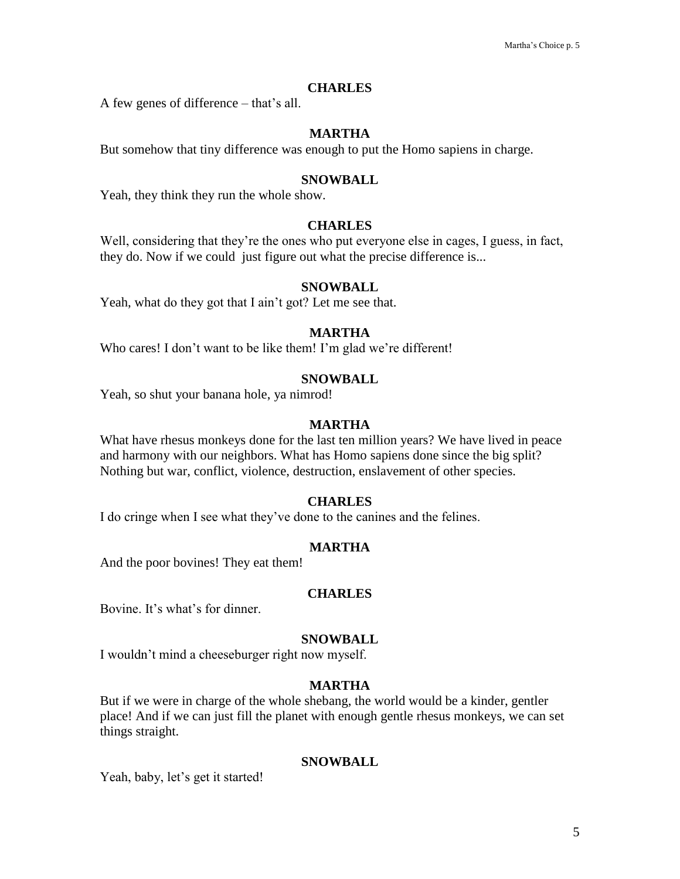A few genes of difference – that's all.

# **MARTHA**

But somehow that tiny difference was enough to put the Homo sapiens in charge.

### **SNOWBALL**

Yeah, they think they run the whole show.

# **CHARLES**

Well, considering that they're the ones who put everyone else in cages, I guess, in fact, they do. Now if we could just figure out what the precise difference is...

# **SNOWBALL**

Yeah, what do they got that I ain't got? Let me see that.

# **MARTHA**

Who cares! I don't want to be like them! I'm glad we're different!

# **SNOWBALL**

Yeah, so shut your banana hole, ya nimrod!

## **MARTHA**

What have rhesus monkeys done for the last ten million years? We have lived in peace and harmony with our neighbors. What has Homo sapiens done since the big split? Nothing but war, conflict, violence, destruction, enslavement of other species.

### **CHARLES**

I do cringe when I see what they've done to the canines and the felines.

#### **MARTHA**

And the poor bovines! They eat them!

# **CHARLES**

Bovine. It's what's for dinner.

# **SNOWBALL**

I wouldn't mind a cheeseburger right now myself.

# **MARTHA**

But if we were in charge of the whole shebang, the world would be a kinder, gentler place! And if we can just fill the planet with enough gentle rhesus monkeys, we can set things straight.

# **SNOWBALL**

Yeah, baby, let's get it started!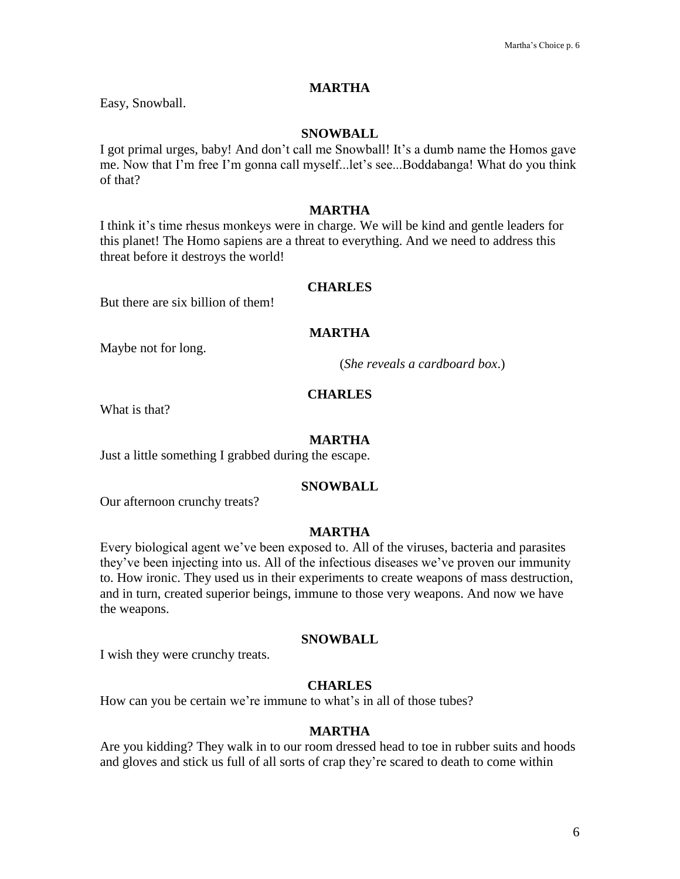## **MARTHA**

Easy, Snowball.

## **SNOWBALL**

I got primal urges, baby! And don't call me Snowball! It's a dumb name the Homos gave me. Now that I'm free I'm gonna call myself...let's see...Boddabanga! What do you think of that?

# **MARTHA**

I think it's time rhesus monkeys were in charge. We will be kind and gentle leaders for this planet! The Homo sapiens are a threat to everything. And we need to address this threat before it destroys the world!

# **CHARLES**

But there are six billion of them!

# **MARTHA**

Maybe not for long.

(*She reveals a cardboard box*.)

### **CHARLES**

What is that?

#### **MARTHA**

Just a little something I grabbed during the escape.

#### **SNOWBALL**

Our afternoon crunchy treats?

# **MARTHA**

Every biological agent we've been exposed to. All of the viruses, bacteria and parasites they've been injecting into us. All of the infectious diseases we've proven our immunity to. How ironic. They used us in their experiments to create weapons of mass destruction, and in turn, created superior beings, immune to those very weapons. And now we have the weapons.

#### **SNOWBALL**

I wish they were crunchy treats.

# **CHARLES**

How can you be certain we're immune to what's in all of those tubes?

#### **MARTHA**

Are you kidding? They walk in to our room dressed head to toe in rubber suits and hoods and gloves and stick us full of all sorts of crap they're scared to death to come within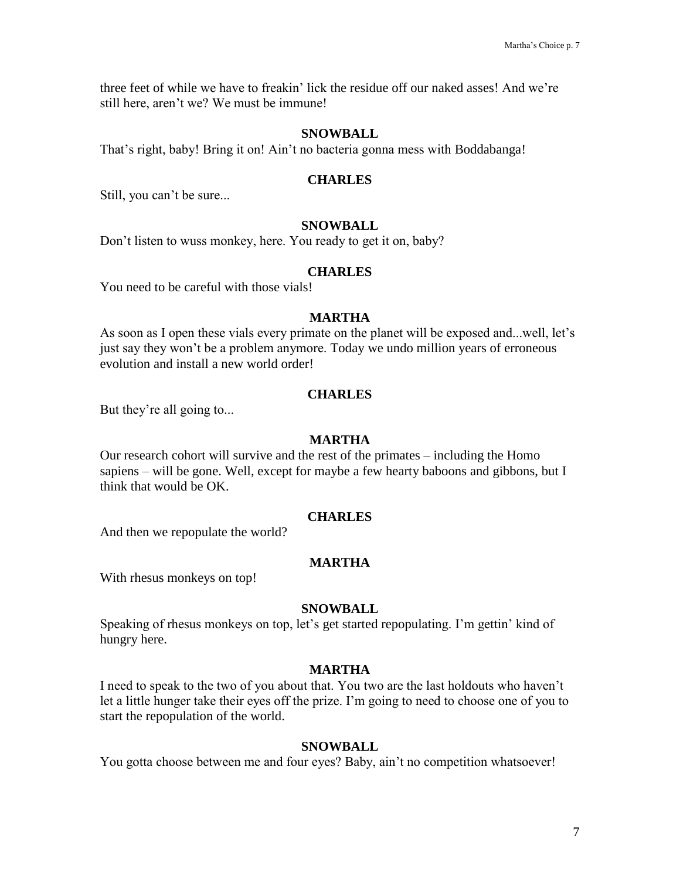three feet of while we have to freakin' lick the residue off our naked asses! And we're still here, aren't we? We must be immune!

### **SNOWBALL**

That's right, baby! Bring it on! Ain't no bacteria gonna mess with Boddabanga!

### **CHARLES**

Still, you can't be sure...

## **SNOWBALL**

Don't listen to wuss monkey, here. You ready to get it on, baby?

#### **CHARLES**

You need to be careful with those vials!

# **MARTHA**

As soon as I open these vials every primate on the planet will be exposed and...well, let's just say they won't be a problem anymore. Today we undo million years of erroneous evolution and install a new world order!

## **CHARLES**

But they're all going to...

#### **MARTHA**

Our research cohort will survive and the rest of the primates – including the Homo sapiens – will be gone. Well, except for maybe a few hearty baboons and gibbons, but I think that would be OK.

### **CHARLES**

And then we repopulate the world?

# **MARTHA**

With rhesus monkeys on top!

### **SNOWBALL**

Speaking of rhesus monkeys on top, let's get started repopulating. I'm gettin' kind of hungry here.

#### **MARTHA**

I need to speak to the two of you about that. You two are the last holdouts who haven't let a little hunger take their eyes off the prize. I'm going to need to choose one of you to start the repopulation of the world.

## **SNOWBALL**

You gotta choose between me and four eyes? Baby, ain't no competition whatsoever!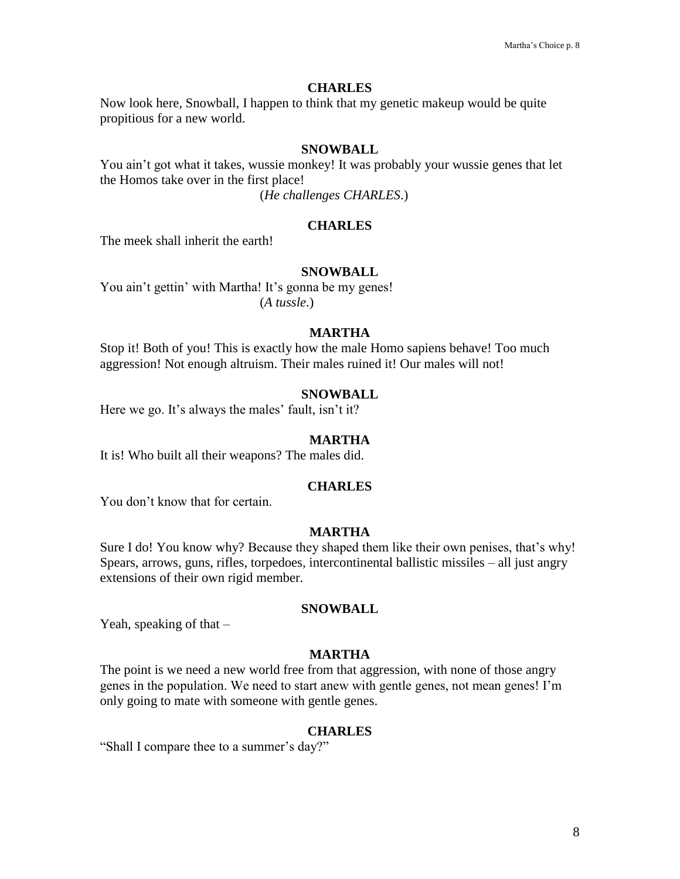Now look here, Snowball, I happen to think that my genetic makeup would be quite propitious for a new world.

# **SNOWBALL**

You ain't got what it takes, wussie monkey! It was probably your wussie genes that let the Homos take over in the first place!

(*He challenges CHARLES*.)

# **CHARLES**

The meek shall inherit the earth!

### **SNOWBALL**

You ain't gettin' with Martha! It's gonna be my genes! (*A tussle*.)

# **MARTHA**

Stop it! Both of you! This is exactly how the male Homo sapiens behave! Too much aggression! Not enough altruism. Their males ruined it! Our males will not!

#### **SNOWBALL**

Here we go. It's always the males' fault, isn't it?

#### **MARTHA**

It is! Who built all their weapons? The males did.

#### **CHARLES**

You don't know that for certain.

# **MARTHA**

Sure I do! You know why? Because they shaped them like their own penises, that's why! Spears, arrows, guns, rifles, torpedoes, intercontinental ballistic missiles – all just angry extensions of their own rigid member.

#### **SNOWBALL**

Yeah, speaking of that  $-$ 

#### **MARTHA**

The point is we need a new world free from that aggression, with none of those angry genes in the population. We need to start anew with gentle genes, not mean genes! I'm only going to mate with someone with gentle genes.

#### **CHARLES**

"Shall I compare thee to a summer's day?"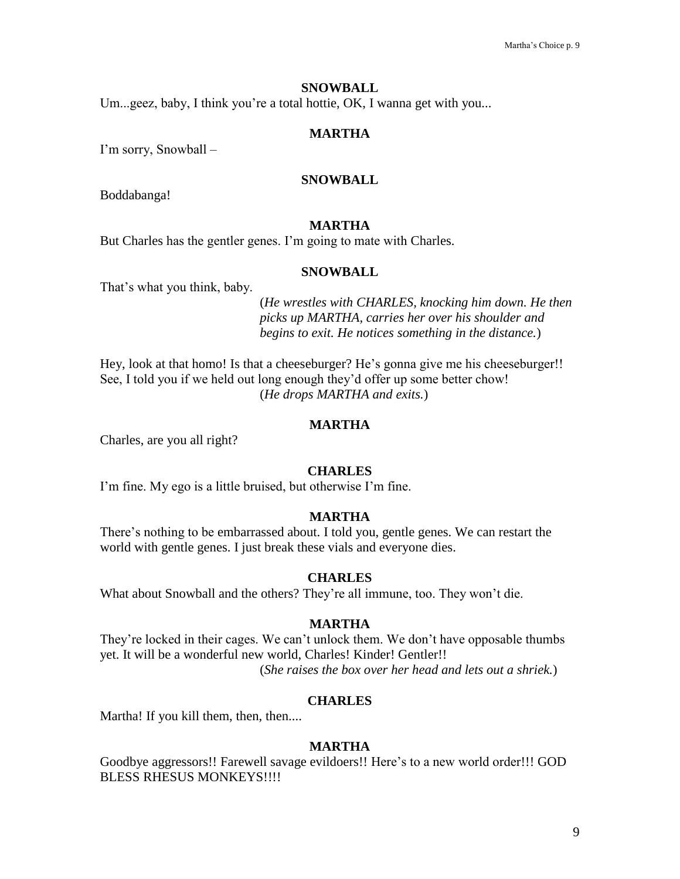### **SNOWBALL**

Um...geez, baby, I think you're a total hottie, OK, I wanna get with you...

# **MARTHA**

I'm sorry, Snowball –

# **SNOWBALL**

Boddabanga!

# **MARTHA**

But Charles has the gentler genes. I'm going to mate with Charles.

#### **SNOWBALL**

That's what you think, baby.

(*He wrestles with CHARLES, knocking him down. He then picks up MARTHA, carries her over his shoulder and begins to exit. He notices something in the distance.*)

Hey, look at that homo! Is that a cheeseburger? He's gonna give me his cheeseburger!! See, I told you if we held out long enough they'd offer up some better chow! (*He drops MARTHA and exits.*)

# **MARTHA**

Charles, are you all right?

## **CHARLES**

I'm fine. My ego is a little bruised, but otherwise I'm fine.

# **MARTHA**

There's nothing to be embarrassed about. I told you, gentle genes. We can restart the world with gentle genes. I just break these vials and everyone dies.

#### **CHARLES**

What about Snowball and the others? They're all immune, too. They won't die.

### **MARTHA**

They're locked in their cages. We can't unlock them. We don't have opposable thumbs yet. It will be a wonderful new world, Charles! Kinder! Gentler!! (*She raises the box over her head and lets out a shriek.*)

#### **CHARLES**

Martha! If you kill them, then, then....

# **MARTHA**

Goodbye aggressors!! Farewell savage evildoers!! Here's to a new world order!!! GOD BLESS RHESUS MONKEYS!!!!